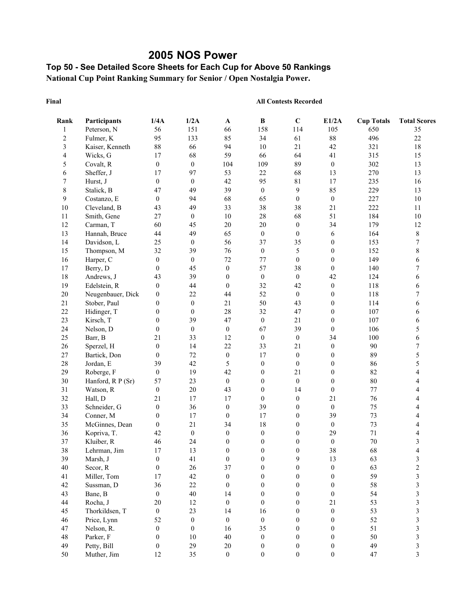## **2005 NOS Power**

## **Top 50 - See Detailed Score Sheets for Each Cup for Above 50 Rankings National Cup Point Ranking Summary for Senior / Open Nostalgia Power.**

#### **Final**

| Rank                    | Participants              | 1/4A             | 1/2A             | $\mathbf{A}$           | B                      | $\mathbf C$                      | E1/2A                  | <b>Cup Totals</b> | <b>Total Scores</b>     |
|-------------------------|---------------------------|------------------|------------------|------------------------|------------------------|----------------------------------|------------------------|-------------------|-------------------------|
| 1                       | Peterson, N               | 56               | 151              | 66                     | 158                    | 114                              | 105                    | 650               | 35                      |
| $\overline{c}$          | Fulmer, K                 | 95               | 133              | 85                     | 34                     | 61                               | 88                     | 496               | 22                      |
| 3                       | Kaiser, Kenneth           | 88               | 66               | 94                     | $10\,$                 | 21                               | 42                     | 321               | $18\,$                  |
| $\overline{\mathbf{4}}$ | Wicks, G                  | 17               | 68               | 59                     | 66                     | 64                               | 41                     | 315               | 15                      |
| 5                       | Covalt, R                 | $\boldsymbol{0}$ | $\boldsymbol{0}$ | 104                    | 109                    | 89                               | $\boldsymbol{0}$       | 302               | 13                      |
| 6                       | Sheffer, J                | 17               | 97               | 53                     | 22                     | 68                               | 13                     | 270               | 13                      |
| $\boldsymbol{7}$        | Hurst, J                  | $\boldsymbol{0}$ | $\boldsymbol{0}$ | 42                     | 95                     | $81\,$                           | 17                     | 235               | 16                      |
| $\,$ $\,$               | Stalick, B                | 47               | 49               | 39                     | $\boldsymbol{0}$       | $\overline{9}$                   | 85                     | 229               | 13                      |
| $\overline{9}$          | Costanzo, E               | $\boldsymbol{0}$ | 94               | 68                     | 65                     | $\boldsymbol{0}$                 | $\boldsymbol{0}$       | 227               | $10\,$                  |
| 10                      | Cleveland, B              | 43               | 49               | 33                     | 38                     | 38                               | 21                     | 222               | 11                      |
| 11                      | Smith, Gene               | 27               | $\boldsymbol{0}$ | 10                     | $28\,$                 | 68                               | 51                     | 184               | $10\,$                  |
| 12                      | Carman, T                 | 60               | 45               | $20\,$                 | $20\,$                 | $\boldsymbol{0}$                 | 34                     | 179               | 12                      |
| 13                      | Hannah, Bruce             | 44               | 49               | 65                     | $\boldsymbol{0}$       | $\boldsymbol{0}$                 | 6                      | 164               | 8                       |
| 14                      | Davidson, L               | 25               | $\boldsymbol{0}$ | 56                     | 37                     | 35                               | $\boldsymbol{0}$       | 153               | $\boldsymbol{7}$        |
| 15                      | Thompson, M               | 32               | 39               | 76                     | $\boldsymbol{0}$       | 5                                | $\boldsymbol{0}$       | 152               | $\,$ 8 $\,$             |
| 16                      | Harper, C                 | $\boldsymbol{0}$ | $\boldsymbol{0}$ | 72                     | 77                     | $\boldsymbol{0}$                 | $\boldsymbol{0}$       | 149               | 6                       |
| $17\,$                  | Berry, D                  | $\boldsymbol{0}$ | 45               | $\boldsymbol{0}$       | 57                     | 38                               | $\boldsymbol{0}$       | 140               | 7                       |
| 18                      | Andrews, J                | 43               | 39               | $\overline{0}$         | $\boldsymbol{0}$       | $\mathbf{0}$                     | 42                     | 124               | 6                       |
| 19                      | Edelstein, R              | $\boldsymbol{0}$ | 44               | $\boldsymbol{0}$       | 32                     | 42                               | $\boldsymbol{0}$       | 118               | 6                       |
| $20\,$                  | Neugenbauer, Dick         | $\boldsymbol{0}$ | 22               | 44                     | 52                     | $\boldsymbol{0}$                 | $\boldsymbol{0}$       | 118               | 7                       |
| 21                      | Stober, Paul              | $\boldsymbol{0}$ | $\boldsymbol{0}$ | 21                     | 50                     | 43                               | $\boldsymbol{0}$       | 114               | 6                       |
| 22                      | Hidinger, T               | $\boldsymbol{0}$ | $\boldsymbol{0}$ | 28                     | 32                     | 47                               | $\boldsymbol{0}$       | 107               | 6                       |
| 23                      | Kirsch, T                 | $\boldsymbol{0}$ | 39               | 47                     | $\boldsymbol{0}$       | 21                               | $\boldsymbol{0}$       | 107               | 6                       |
| 24                      | Nelson, D                 | $\boldsymbol{0}$ | $\boldsymbol{0}$ | $\boldsymbol{0}$       | 67                     | 39                               | $\boldsymbol{0}$       | 106               | 5                       |
| 25                      | Barr, B                   | 21               | 33               | 12                     | $\boldsymbol{0}$       | $\boldsymbol{0}$                 | 34                     | 100               | 6                       |
| 26                      | Sperzel, H                | $\boldsymbol{0}$ | 14               | 22                     | 33                     | 21                               | $\boldsymbol{0}$       | 90                | 7                       |
| 27                      | Bartick, Don              | $\boldsymbol{0}$ | 72               | $\boldsymbol{0}$       | 17                     | $\boldsymbol{0}$                 | $\boldsymbol{0}$       | 89                | 5                       |
| 28                      | Jordan, E                 | 39               | 42               | 5                      | $\boldsymbol{0}$       | $\boldsymbol{0}$                 | $\boldsymbol{0}$       | 86                | 5                       |
| 29                      | Roberge, F                | $\boldsymbol{0}$ | 19               | 42                     | $\boldsymbol{0}$       | 21                               | $\boldsymbol{0}$       | 82                | 4                       |
| 30                      | Hanford, R P (Sr)         | 57               | 23               | $\boldsymbol{0}$       | $\boldsymbol{0}$       | $\boldsymbol{0}$                 | $\boldsymbol{0}$       | 80                | 4                       |
| 31                      | Watson, R                 | $\boldsymbol{0}$ | 20               | 43                     | $\boldsymbol{0}$       | 14                               | $\boldsymbol{0}$       | 77                | 4                       |
| 32                      | Hall, D                   | 21               | 17               | 17                     | $\boldsymbol{0}$       | $\boldsymbol{0}$                 | 21                     | 76                | 4                       |
| 33                      | Schneider, G              | $\boldsymbol{0}$ | 36               | $\boldsymbol{0}$       | 39                     | $\boldsymbol{0}$                 | $\boldsymbol{0}$       | 75                | 4                       |
| 34                      | Conner, M                 | $\boldsymbol{0}$ | 17               | $\boldsymbol{0}$       | 17                     | $\boldsymbol{0}$                 | 39                     | 73                | 4                       |
| 35                      | McGinnes, Dean            | $\boldsymbol{0}$ | 21               | 34                     | $18\,$                 | $\mathbf{0}$                     | $\boldsymbol{0}$       | 73                | 4                       |
| 36                      | Kopriva, T.               | 42               | $\boldsymbol{0}$ | $\boldsymbol{0}$       | $\boldsymbol{0}$       | $\boldsymbol{0}$                 | 29                     | 71                | 4                       |
| 37                      | Kluiber, R                | 46               | 24               | $\boldsymbol{0}$       | $\boldsymbol{0}$       | $\boldsymbol{0}$                 | $\boldsymbol{0}$       | 70                | 3                       |
| 38                      | Lehrman, Jim              | 17               | 13               | $\boldsymbol{0}$       | $\boldsymbol{0}$       | $\boldsymbol{0}$                 | 38                     | 68                | 4                       |
| 39                      | Marsh, J                  | $\boldsymbol{0}$ | 41               | $\boldsymbol{0}$       | $\boldsymbol{0}$       | 9                                | 13                     | 63                | 3                       |
| $40\,$                  | Secor, R                  | $\boldsymbol{0}$ | 26               | 37                     | $\boldsymbol{0}$       | $\boldsymbol{0}$                 | $\boldsymbol{0}$       | 63                | $\overline{\mathbf{c}}$ |
| 41                      | Miller, Tom               | 17               | 42               | $\boldsymbol{0}$       | $\mathbf{0}$           | $\boldsymbol{0}$                 | $\boldsymbol{0}$       | 59                | 3                       |
| 42                      | Sussman, D                | 36               | $22\,$           |                        | $\boldsymbol{0}$       | $\boldsymbol{0}$                 | 0                      | 58                | 3                       |
| 43                      | Bane, B                   | $\boldsymbol{0}$ | 40               | $\boldsymbol{0}$<br>14 | $\theta$               | $\theta$                         |                        | 54                | 3                       |
| 44                      | Rocha, J                  | 20               | 12               | $\boldsymbol{0}$       | $\overline{0}$         | $\theta$                         | $\boldsymbol{0}$<br>21 | 53                | 3                       |
|                         |                           |                  |                  |                        |                        |                                  |                        |                   |                         |
| 45                      | Thorkildsen, T            | $\boldsymbol{0}$ | 23               | 14                     | 16                     | $\boldsymbol{0}$                 | $\boldsymbol{0}$       | 53                | 3                       |
| 46                      | Price, Lynn<br>Nelson, R. | 52               | $\boldsymbol{0}$ | $\boldsymbol{0}$       | $\boldsymbol{0}$<br>35 | $\boldsymbol{0}$<br>$\mathbf{0}$ | $\boldsymbol{0}$       | 52<br>51          | $\mathfrak{Z}$          |
| 47<br>48                |                           | $\boldsymbol{0}$ | $\boldsymbol{0}$ | 16<br>40               |                        |                                  | $\boldsymbol{0}$       |                   | $\mathfrak{Z}$          |
| 49                      | Parker, F                 | $\boldsymbol{0}$ | 10               |                        | $\boldsymbol{0}$       | $\boldsymbol{0}$                 | $\boldsymbol{0}$       | 50<br>49          | 3                       |
|                         | Petty, Bill               | $\boldsymbol{0}$ | 29               | $20\,$                 | $\boldsymbol{0}$       | $\boldsymbol{0}$                 | $\boldsymbol{0}$       |                   | 3                       |
| 50                      | Muther, Jim               | 12               | 35               | $\boldsymbol{0}$       | $\boldsymbol{0}$       | $\boldsymbol{0}$                 | $\boldsymbol{0}$       | $47\,$            | 3                       |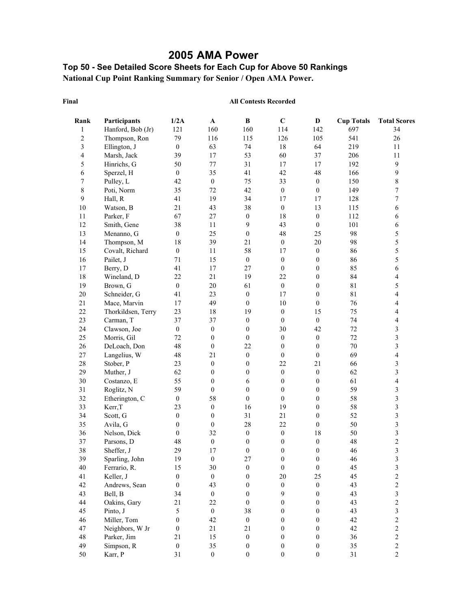# **2005 AMA Power**

## **Top 50 - See Detailed Score Sheets for Each Cup for Above 50 Rankings National Cup Point Ranking Summary for Senior / Open AMA Power.**

#### **Final**

| Rank           | Participants       | 1/2A             | $\mathbf A$      | B                | $\mathbf C$      | $\mathbf D$      | <b>Cup Totals</b> | <b>Total Scores</b>      |
|----------------|--------------------|------------------|------------------|------------------|------------------|------------------|-------------------|--------------------------|
| $\mathbf{1}$   | Hanford, Bob (Jr)  | 121              | 160              | 160              | 114              | 142              | 697               | 34                       |
| $\overline{c}$ | Thompson, Ron      | 79               | 116              | 115              | 126              | 105              | 541               | 26                       |
| 3              | Ellington, J       | $\boldsymbol{0}$ | 63               | 74               | $18\,$           | 64               | 219               | $11\,$                   |
| $\overline{4}$ | Marsh, Jack        | 39               | 17               | 53               | 60               | 37               | 206               | 11                       |
| 5              | Hinrichs, G        | 50               | $77 \,$          | 31               | 17               | 17               | 192               | $\boldsymbol{9}$         |
| 6              | Sperzel, H         | $\boldsymbol{0}$ | 35               | 41               | 42               | 48               | 166               | 9                        |
| 7              | Pulley, L          | 42               | $\boldsymbol{0}$ | 75               | 33               | $\boldsymbol{0}$ | 150               | 8                        |
| $8\,$          | Poti, Norm         | 35               | 72               | 42               | $\boldsymbol{0}$ | $\boldsymbol{0}$ | 149               | $\overline{7}$           |
| 9              | Hall, R            | 41               | 19               | 34               | 17               | 17               | 128               | $\overline{7}$           |
| $10\,$         | Watson, B          | 21               | 43               | 38               | $\boldsymbol{0}$ | 13               | 115               | 6                        |
| 11             | Parker, F          | 67               | $27\,$           | $\boldsymbol{0}$ | $18\,$           | $\boldsymbol{0}$ | 112               | 6                        |
| $12\,$         | Smith, Gene        | 38               | 11               | 9                | 43               | $\boldsymbol{0}$ | 101               | 6                        |
| 13             | Menanno, G         | $\boldsymbol{0}$ | 25               | $\boldsymbol{0}$ | 48               | 25               | 98                | 5                        |
| 14             | Thompson, M        | 18               | 39               | 21               | $\boldsymbol{0}$ | $20\,$           | 98                | 5                        |
| 15             | Covalt, Richard    | $\boldsymbol{0}$ | $11\,$           | 58               | 17               | $\boldsymbol{0}$ | 86                | 5                        |
| 16             | Pailet, J          | 71               | 15               | $\boldsymbol{0}$ | $\boldsymbol{0}$ | $\boldsymbol{0}$ | 86                | 5                        |
| 17             | Berry, D           | 41               | $17$             | 27               | $\boldsymbol{0}$ | $\boldsymbol{0}$ | 85                | 6                        |
| $18\,$         | Wineland, D        | 22               | $21\,$           | 19               | 22               | $\boldsymbol{0}$ | 84                | $\overline{\mathcal{L}}$ |
| 19             | Brown, G           | $\boldsymbol{0}$ | $20\,$           | 61               | $\boldsymbol{0}$ | $\boldsymbol{0}$ | 81                | 5                        |
| $20\,$         | Schneider, G       | 41               | 23               | $\boldsymbol{0}$ | 17               | $\boldsymbol{0}$ | 81                | 4                        |
| 21             | Mace, Marvin       | 17               | 49               | $\boldsymbol{0}$ | 10               | $\boldsymbol{0}$ | 76                | 4                        |
| 22             | Thorkildsen, Terry | 23               | 18               | 19               | $\boldsymbol{0}$ | 15               | 75                | 4                        |
| 23             | Carman, T          | 37               | 37               | $\boldsymbol{0}$ | $\boldsymbol{0}$ | $\boldsymbol{0}$ | 74                | 4                        |
| 24             | Clawson, Joe       | $\boldsymbol{0}$ | $\boldsymbol{0}$ | $\boldsymbol{0}$ | 30               | 42               | 72                | $\mathfrak{Z}$           |
| 25             | Morris, Gil        | 72               | $\boldsymbol{0}$ | $\boldsymbol{0}$ | $\boldsymbol{0}$ | $\boldsymbol{0}$ | 72                | $\overline{\mathbf{3}}$  |
| 26             | DeLoach, Don       | 48               | $\boldsymbol{0}$ | 22               | $\boldsymbol{0}$ | $\boldsymbol{0}$ | 70                | $\overline{\mathbf{3}}$  |
| 27             | Langelius, W       | 48               | 21               | $\boldsymbol{0}$ | $\boldsymbol{0}$ | $\boldsymbol{0}$ | 69                | $\overline{\mathcal{L}}$ |
| $28\,$         | Stober, P          | 23               | $\boldsymbol{0}$ | $\boldsymbol{0}$ | 22               | 21               | 66                | $\overline{\mathbf{3}}$  |
| 29             | Muther, J          | 62               | $\boldsymbol{0}$ | $\boldsymbol{0}$ | $\boldsymbol{0}$ | $\boldsymbol{0}$ | 62                | 3                        |
| 30             | Costanzo, E        | 55               | $\boldsymbol{0}$ | 6                | $\boldsymbol{0}$ | $\boldsymbol{0}$ | 61                | $\overline{\mathcal{L}}$ |
| 31             | Roglitz, N         | 59               | $\boldsymbol{0}$ | $\boldsymbol{0}$ | $\boldsymbol{0}$ | $\boldsymbol{0}$ | 59                | $\mathfrak{Z}$           |
| 32             | Etherington, C     | $\boldsymbol{0}$ | 58               | $\boldsymbol{0}$ | $\mathbf{0}$     | $\boldsymbol{0}$ | 58                | 3                        |
| 33             | Kerr, T            | 23               | $\boldsymbol{0}$ | 16               | 19               | $\boldsymbol{0}$ | 58                | $\overline{\mathbf{3}}$  |
| 34             | Scott, G           | $\boldsymbol{0}$ | $\boldsymbol{0}$ | 31               | 21               | $\boldsymbol{0}$ | 52                | $\overline{\mathbf{3}}$  |
| 35             | Avila, G           | $\boldsymbol{0}$ | $\boldsymbol{0}$ | $28\,$           | 22               | $\boldsymbol{0}$ | 50                | $\overline{\mathbf{3}}$  |
| 36             | Nelson, Dick       | $\boldsymbol{0}$ | 32               | $\boldsymbol{0}$ | $\boldsymbol{0}$ | $18\,$           | 50                | 3                        |
| 37             | Parsons, D         | 48               | $\boldsymbol{0}$ | $\boldsymbol{0}$ | $\boldsymbol{0}$ | $\boldsymbol{0}$ | 48                | $\overline{\mathbf{c}}$  |
| 38             | Sheffer, J         | 29               | 17               | $\boldsymbol{0}$ | $\boldsymbol{0}$ | $\overline{0}$   | 46                | $\overline{\mathbf{3}}$  |
| 39             | Sparling, John     | 19               | $\theta$         | 27               | $\boldsymbol{0}$ | $\Omega$         | 46                | 3                        |
| 40             | Ferrario, R.       | 15               | 30               | $\boldsymbol{0}$ | $\boldsymbol{0}$ | $\boldsymbol{0}$ | 45                | $\sqrt{3}$               |
| 41             | Keller, J          | $\mathbf{0}$     | $\boldsymbol{0}$ | $\boldsymbol{0}$ | 20               | 25               | 45                | $\overline{c}$           |
| 42             | Andrews, Sean      | $\boldsymbol{0}$ | 43               | $\boldsymbol{0}$ | $\boldsymbol{0}$ | $\boldsymbol{0}$ | 43                | $\overline{c}$           |
| 43             | Bell, B            | 34               | $\boldsymbol{0}$ | $\boldsymbol{0}$ | 9                | $\boldsymbol{0}$ | 43                | $\overline{\mathbf{3}}$  |
| 44             | Oakins, Gary       | 21               | 22               | $\boldsymbol{0}$ | $\boldsymbol{0}$ | $\boldsymbol{0}$ | 43                | $\overline{c}$           |
| 45             | Pinto, J           | 5                | $\boldsymbol{0}$ | 38               | $\boldsymbol{0}$ | $\boldsymbol{0}$ | 43                | 3                        |
| 46             | Miller, Tom        | $\boldsymbol{0}$ | 42               | $\boldsymbol{0}$ | $\boldsymbol{0}$ | $\boldsymbol{0}$ | 42                | $\overline{c}$           |
| 47             | Neighbors, W Jr    | 0                | 21               | 21               | $\boldsymbol{0}$ | $\boldsymbol{0}$ | 42                | $\overline{c}$           |
| $48\,$         | Parker, Jim        | 21               | 15               | $\boldsymbol{0}$ | $\boldsymbol{0}$ | $\boldsymbol{0}$ | 36                | $\overline{c}$           |
| 49             | Simpson, R         | $\boldsymbol{0}$ | 35               | $\boldsymbol{0}$ | $\boldsymbol{0}$ | $\boldsymbol{0}$ | 35                | $\overline{c}$           |
| 50             | Karr, P            | 31               | $\boldsymbol{0}$ | $\boldsymbol{0}$ | $\boldsymbol{0}$ | $\boldsymbol{0}$ | 31                | $\overline{c}$           |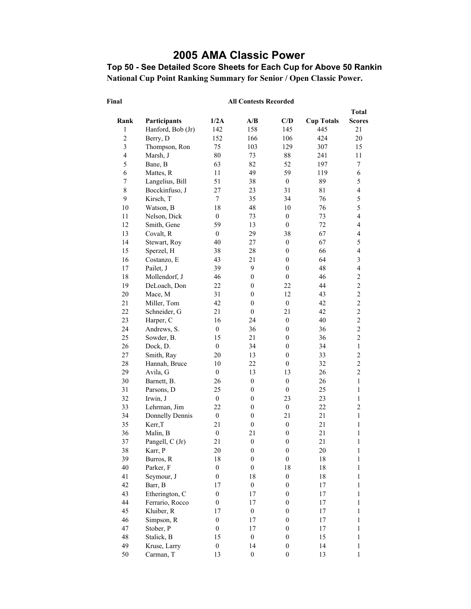# **2005 AMA Classic Power**

**Top 50 - See Detailed Score Sheets for Each Cup for Above 50 Rankin National Cup Point Ranking Summary for Senior / Open Classic Power.** 

|                         |                   |                  |                  |                  |                   | <b>Total</b>                               |
|-------------------------|-------------------|------------------|------------------|------------------|-------------------|--------------------------------------------|
| Rank                    | Participants      | 1/2A             | A/B              | C/D              | <b>Cup Totals</b> | <b>Scores</b>                              |
| $\,1$                   | Hanford, Bob (Jr) | 142              | 158              | 145              | 445               | 21                                         |
| $\overline{c}$          | Berry, D          | 152              | 166              | 106              | 424               | 20                                         |
| $\mathfrak{Z}$          | Thompson, Ron     | 75               | 103              | 129              | 307               | 15                                         |
| $\overline{\mathbf{4}}$ | Marsh, J          | 80               | 73               | 88               | 241               | 11                                         |
| 5                       | Bane, B           | 63               | 82               | 52               | 197               | 7                                          |
| 6                       | Mattes, R         | 11               | 49               | 59               | 119               | 6                                          |
| $\tau$                  | Langelius, Bill   | 51               | 38               | $\boldsymbol{0}$ | 89                | 5                                          |
| $\,$ $\,$               | Bocckinfuso, J    | 27               | 23               | 31               | 81                | $\overline{\mathbf{4}}$                    |
| 9                       | Kirsch, T         | $\tau$           | 35               | 34               | 76                | 5                                          |
| 10                      | Watson, B         | 18               | 48               | 10               | 76                | 5                                          |
| 11                      | Nelson, Dick      | $\boldsymbol{0}$ | 73               | $\boldsymbol{0}$ | 73                | $\overline{\mathcal{L}}$                   |
| 12                      | Smith, Gene       | 59               | 13               | $\boldsymbol{0}$ | 72                | $\overline{\mathbf{4}}$                    |
| 13                      | Covalt, R         | $\mathbf{0}$     | 29               | 38               | 67                | $\overline{4}$                             |
| 14                      | Stewart, Roy      | 40               | $27\,$           | $\boldsymbol{0}$ | 67                | 5                                          |
| 15                      | Sperzel, H        | 38               | 28               | $\boldsymbol{0}$ | 66                | $\overline{\mathbf{4}}$                    |
| 16                      | Costanzo, E       | 43               | 21               | $\boldsymbol{0}$ | 64                | $\overline{\mathbf{3}}$                    |
| 17                      | Pailet, J         | 39               | 9                | $\mathbf{0}$     | 48                | $\overline{\mathcal{L}}$                   |
| 18                      | Mollendorf, J     | 46               | $\boldsymbol{0}$ | $\boldsymbol{0}$ | 46                | $\overline{c}$                             |
| 19                      | DeLoach, Don      | 22               | $\boldsymbol{0}$ | 22               | 44                |                                            |
| $20\,$                  | Mace, M           | 31               | $\boldsymbol{0}$ | 12               | 43                |                                            |
| 21                      | Miller, Tom       | 42               | $\mathbf{0}$     | $\boldsymbol{0}$ | 42                | $\begin{array}{c} 2 \\ 2 \\ 2 \end{array}$ |
| $22\,$                  | Schneider, G      | 21               | $\boldsymbol{0}$ | 21               | 42                |                                            |
| 23                      | Harper, C         | 16               | 24               | $\boldsymbol{0}$ | 40                | $\overline{c}$                             |
| 24                      | Andrews, S.       | $\boldsymbol{0}$ | 36               | $\boldsymbol{0}$ | 36                | $\overline{c}$                             |
| 25                      | Sowder, B.        | 15               | 21               | $\boldsymbol{0}$ | 36                | $\overline{c}$                             |
| 26                      | Dock, D.          | $\boldsymbol{0}$ | 34               | $\boldsymbol{0}$ | 34                | $\mathbf{1}$                               |
| $27\,$                  | Smith, Ray        | 20               | 13               | $\boldsymbol{0}$ | 33                | $\overline{c}$                             |
| $28\,$                  | Hannah, Bruce     | 10               | 22               | $\boldsymbol{0}$ | 32                | $\overline{c}$                             |
| 29                      | Avila, G          | $\mathbf{0}$     | 13               | 13               | 26                | $\overline{c}$                             |
| 30                      | Barnett, B.       | 26               | $\boldsymbol{0}$ | $\boldsymbol{0}$ | 26                | $\mathbf{1}$                               |
| 31                      | Parsons, D        | 25               | $\boldsymbol{0}$ | $\boldsymbol{0}$ | 25                | $\mathbf{1}$                               |
| 32                      | Irwin, J          | $\boldsymbol{0}$ | $\boldsymbol{0}$ | 23               | 23                | $\,1$                                      |
| 33                      | Lehrman, Jim      | 22               | $\boldsymbol{0}$ | $\boldsymbol{0}$ | 22                | $\overline{c}$                             |
| 34                      | Donnelly Dennis   | $\boldsymbol{0}$ | $\boldsymbol{0}$ | 21               | 21                | $\mathbf{1}$                               |
| 35                      | Kerr, T           | 21               | $\mathbf{0}$     | $\boldsymbol{0}$ | 21                | $\mathbf{1}$                               |
| 36                      | Malin, B          | $\boldsymbol{0}$ | 21               | $\boldsymbol{0}$ | 21                | $\mathbf{1}$                               |
| 37                      | Pangell, C (Jr)   | 21               | $\boldsymbol{0}$ | $\boldsymbol{0}$ | 21                | $\,1$                                      |
| 38                      | Karr, P           | 20               | $\boldsymbol{0}$ | $\boldsymbol{0}$ | 20                | 1                                          |
| 39                      | Burros, R         | 18               | $\boldsymbol{0}$ | $\boldsymbol{0}$ | 18                | $\mathbf{1}$                               |
| 40                      | Parker, F         | $\boldsymbol{0}$ | $\boldsymbol{0}$ | 18               | 18                | $\,1\,$                                    |
| 41                      | Seymour, J        | $\boldsymbol{0}$ | 18               | $\boldsymbol{0}$ | 18                | 1                                          |
| 42                      | Barr, B           | 17               | $\boldsymbol{0}$ | $\boldsymbol{0}$ | 17                | 1                                          |
| 43                      | Etherington, C    | $\boldsymbol{0}$ | 17               | $\boldsymbol{0}$ | 17                | $\mathbf{1}$                               |
| 44                      | Ferrario, Rocco   | $\boldsymbol{0}$ | 17               | $\boldsymbol{0}$ | 17                | $\mathbf{1}$                               |
| 45                      | Kluiber, R        | 17               | $\boldsymbol{0}$ | $\boldsymbol{0}$ | 17                | 1                                          |
| 46                      | Simpson, R        | $\boldsymbol{0}$ | 17               | $\boldsymbol{0}$ | 17                | 1                                          |
| 47                      | Stober, P         | $\boldsymbol{0}$ | 17               | $\boldsymbol{0}$ | 17                | 1                                          |
| 48                      | Stalick, B        | 15               | $\boldsymbol{0}$ | $\boldsymbol{0}$ | 15                | $\,1$                                      |
| 49                      | Kruse, Larry      | $\boldsymbol{0}$ | 14               | $\boldsymbol{0}$ | 14                | $\,1$                                      |
| 50                      | Carman, T         | 13               | $\boldsymbol{0}$ | $\boldsymbol{0}$ | 13                | 1                                          |
|                         |                   |                  |                  |                  |                   |                                            |

#### **Final**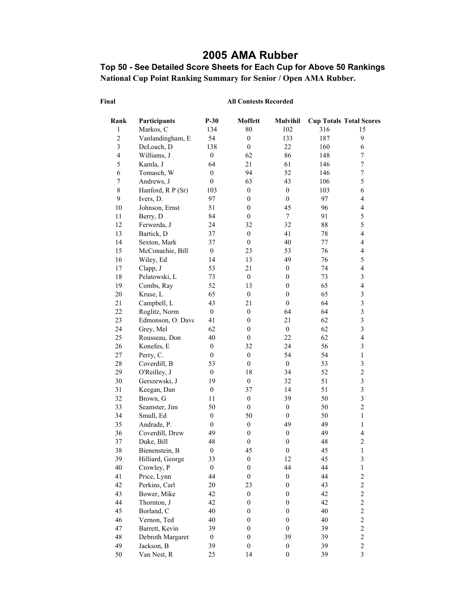## **2005 AMA Rubber**

### **Top 50 - See Detailed Score Sheets for Each Cup for Above 50 Rankings National Cup Point Ranking Summary for Senior / Open AMA Rubber.**

#### **Final**

| Rank                    | Participants      | $P-30$           | <b>Moffett</b>   | <b>Mulvihil</b>  |     | <b>Cup Totals Total Scores</b> |
|-------------------------|-------------------|------------------|------------------|------------------|-----|--------------------------------|
| 1                       | Markos, C         | 134              | 80               | 102              | 316 | 15                             |
| $\overline{c}$          | Vanlandingham, E  | 54               | $\boldsymbol{0}$ | 133              | 187 | 9                              |
| $\overline{\mathbf{3}}$ | DeLoach, D        | 138              | $\boldsymbol{0}$ | 22               | 160 | 6                              |
| $\overline{\mathbf{4}}$ | Williams, J       | $\boldsymbol{0}$ | 62               | 86               | 148 | $\boldsymbol{7}$               |
| 5                       | Kamla, J          | 64               | 21               | 61               | 146 | $\boldsymbol{7}$               |
| 6                       | Tomasch, W        | $\boldsymbol{0}$ | 94               | 52               | 146 | $\sqrt{ }$                     |
| $\boldsymbol{7}$        | Andrews, J        | $\boldsymbol{0}$ | 63               | 43               | 106 | 5                              |
| $\,8\,$                 | Hanford, R P (Sr) | 103              | $\boldsymbol{0}$ | $\boldsymbol{0}$ | 103 | 6                              |
| 9                       | Ivers, D.         | 97               | $\boldsymbol{0}$ | $\boldsymbol{0}$ | 97  | $\overline{\mathcal{L}}$       |
| 10                      | Johnson, Ernst    | 51               | $\boldsymbol{0}$ | 45               | 96  | $\overline{4}$                 |
| $11\,$                  | Berry, D          | 84               | $\mathbf{0}$     | $\boldsymbol{7}$ | 91  | 5                              |
| 12                      | Ferwerda, J       | 24               | 32               | 32               | 88  | 5                              |
| 13                      | Bartick, D        | 37               | $\boldsymbol{0}$ | 41               | 78  | $\overline{\mathbf{4}}$        |
| 14                      | Sexton, Mark      | 37               | $\boldsymbol{0}$ | 40               | 77  | $\overline{\mathbf{4}}$        |
| 15                      | McConachie, Bill  | $\boldsymbol{0}$ | 23               | 53               | 76  | $\overline{\mathcal{L}}$       |
| 16                      | Wiley, Ed         | 14               | 13               | 49               | 76  | 5                              |
| 17                      | Clapp, J          | 53               | 21               | $\boldsymbol{0}$ | 74  | $\overline{4}$                 |
| 18                      | Pelatowski, L     | 73               | $\boldsymbol{0}$ | $\boldsymbol{0}$ | 73  | $\overline{\mathbf{3}}$        |
| 19                      | Combs, Ray        | 52               | 13               | $\boldsymbol{0}$ | 65  | $\overline{4}$                 |
| $20\,$                  | Kruse, L          | 65               | $\boldsymbol{0}$ | $\boldsymbol{0}$ | 65  | $\mathfrak{Z}$                 |
| 21                      | Campbell, L       | 43               | 21               | $\mathbf{0}$     | 64  | 3                              |
| 22                      | Roglitz, Norm     | $\boldsymbol{0}$ | $\boldsymbol{0}$ | 64               | 64  | $\mathfrak{Z}$                 |
| 23                      | Edmonson, O. Dave | 41               | $\boldsymbol{0}$ | 21               | 62  | $\overline{\mathbf{3}}$        |
| 24                      | Grey, Mel         | 62               | $\boldsymbol{0}$ | $\boldsymbol{0}$ | 62  | $\overline{\mathbf{3}}$        |
| 25                      | Rousseau, Don     | 40               | $\boldsymbol{0}$ | 22               | 62  | $\overline{\mathbf{4}}$        |
| 26                      | Konefes, E        | $\boldsymbol{0}$ | 32               | 24               | 56  | $\overline{\mathbf{3}}$        |
| 27                      | Perry, C.         | $\boldsymbol{0}$ | $\boldsymbol{0}$ | 54               | 54  | $\,1$                          |
| 28                      | Coverdill, B      | 53               | $\boldsymbol{0}$ | $\boldsymbol{0}$ | 53  | $\mathfrak{Z}$                 |
| 29                      | O'Reilley, J      | $\boldsymbol{0}$ | 18               | 34               | 52  | $\overline{c}$                 |
| 30                      | Gerszewski, J     | 19               | $\boldsymbol{0}$ | 32               | 51  | $\overline{\mathbf{3}}$        |
| 31                      | Keegan, Dan       | $\boldsymbol{0}$ | 37               | 14               | 51  | $\overline{\mathbf{3}}$        |
| 32                      | Brown, G          | 11               | $\boldsymbol{0}$ | 39               | 50  | $\overline{\mathbf{3}}$        |
| 33                      | Seamster, Jim     | 50               | $\boldsymbol{0}$ | $\boldsymbol{0}$ | 50  | $\overline{c}$                 |
| 34                      | Smull, Ed         | $\boldsymbol{0}$ | 50               | $\mathbf{0}$     | 50  | $\mathbf{1}$                   |
| 35                      | Andrade, P.       | $\mathbf{0}$     | $\boldsymbol{0}$ | 49               | 49  | $\mathbf{1}$                   |
| 36                      | Coverdill, Drew   | 49               | $\boldsymbol{0}$ | $\boldsymbol{0}$ | 49  | $\overline{\mathbf{4}}$        |
| 37                      | Duke, Bill        | 48               | $\boldsymbol{0}$ | $\boldsymbol{0}$ | 48  | $\overline{c}$                 |
| 38                      | Bienenstein, B    | $\boldsymbol{0}$ | 45               | $\boldsymbol{0}$ | 45  | $\,1$                          |
| 39                      | Hilliard, George  | 33               | $\boldsymbol{0}$ | 12               | 45  | 3                              |
| 40                      | Crowley, P        | $\boldsymbol{0}$ | $\boldsymbol{0}$ | 44               | 44  | $\,1\,$                        |
| 41                      | Price, Lynn       | 44               | $\boldsymbol{0}$ | $\boldsymbol{0}$ | 44  | $\overline{c}$                 |
| 42                      | Perkins, Carl     | 20               | 23               | $\boldsymbol{0}$ | 43  | $\overline{c}$                 |
| 43                      | Bower, Mike       | 42               | $\boldsymbol{0}$ | $\boldsymbol{0}$ | 42  | $\overline{c}$                 |
| 44                      | Thornton, J       | 42               | $\boldsymbol{0}$ | $\boldsymbol{0}$ | 42  | $\overline{c}$                 |
| 45                      | Borland, C        | 40               | $\boldsymbol{0}$ | $\boldsymbol{0}$ | 40  | $\overline{c}$                 |
| 46                      | Vernon, Ted       | 40               | $\boldsymbol{0}$ | $\boldsymbol{0}$ | 40  | $\overline{c}$                 |
| 47                      | Barrett, Kevin    | 39               | $\boldsymbol{0}$ | $\boldsymbol{0}$ | 39  | $\overline{c}$                 |
| 48                      | Debroth Margaret  | $\boldsymbol{0}$ | $\boldsymbol{0}$ | 39               | 39  | $\overline{c}$                 |
| 49                      | Jackson, B        | 39               | $\boldsymbol{0}$ | $\boldsymbol{0}$ | 39  | $\overline{c}$                 |
| 50                      | Van Nest, R       | 25               | 14               | $\mathbf{0}$     | 39  | 3                              |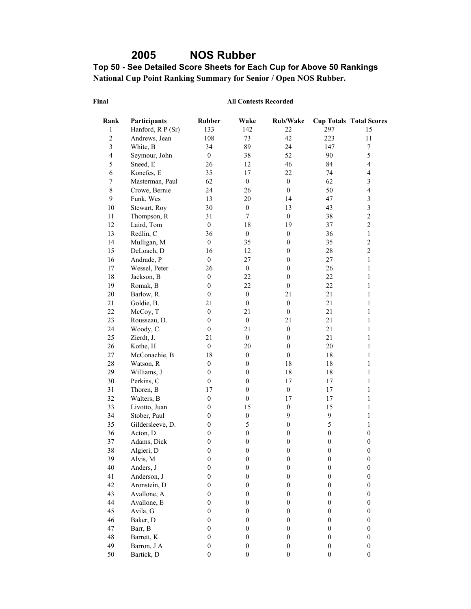# **2005 NOS Rubber**

#### **Top 50 - See Detailed Score Sheets for Each Cup for Above 50 Rankings National Cup Point Ranking Summary for Senior / Open NOS Rubber.**

#### **Final**

| Rank                    | Participants      | <b>Rubber</b>    | Wake             | Rub/Wake         |                  | <b>Cup Totals Total Scores</b> |
|-------------------------|-------------------|------------------|------------------|------------------|------------------|--------------------------------|
| 1                       | Hanford, R P (Sr) | 133              | 142              | 22               | 297              | 15                             |
| $\overline{c}$          | Andrews, Jean     | 108              | 73               | 42               | 223              | 11                             |
| $\mathfrak{Z}$          | White, B          | 34               | 89               | 24               | 147              | $\boldsymbol{7}$               |
| $\overline{\mathbf{4}}$ | Seymour, John     | $\mathbf{0}$     | 38               | 52               | 90               | 5                              |
| 5                       | Sneed, E          | 26               | 12               | 46               | 84               | $\overline{\mathbf{4}}$        |
| $\epsilon$              | Konefes, E        | 35               | 17               | 22               | 74               | $\overline{\mathcal{L}}$       |
| $\boldsymbol{7}$        | Masterman, Paul   | 62               | $\boldsymbol{0}$ | $\boldsymbol{0}$ | 62               | 3                              |
| $\,8\,$                 | Crowe, Bernie     | 24               | 26               | $\boldsymbol{0}$ | 50               | $\overline{4}$                 |
| 9                       | Funk, Wes         | 13               | 20               | 14               | 47               | $\overline{\mathbf{3}}$        |
| $10\,$                  | Stewart, Roy      | 30               | $\boldsymbol{0}$ | 13               | 43               | $\overline{\mathbf{3}}$        |
| $11\,$                  | Thompson, R       | 31               | $\boldsymbol{7}$ | $\boldsymbol{0}$ | 38               | $\overline{c}$                 |
| $12\,$                  | Laird, Tom        | $\boldsymbol{0}$ | 18               | 19               | 37               | $\overline{c}$                 |
| 13                      | Redlin, C         | 36               | $\boldsymbol{0}$ | $\boldsymbol{0}$ | 36               | $\mathbf{1}$                   |
| 14                      | Mulligan, M       | $\boldsymbol{0}$ | 35               | $\boldsymbol{0}$ | 35               | $\overline{c}$                 |
| 15                      | DeLoach, D        | 16               | 12               | $\boldsymbol{0}$ | 28               | $\overline{c}$                 |
| 16                      | Andrade, P        | $\boldsymbol{0}$ | 27               | $\boldsymbol{0}$ | 27               | $\mathbf{1}$                   |
| 17                      | Wessel, Peter     | 26               | $\boldsymbol{0}$ | $\boldsymbol{0}$ | 26               | $\mathbf{1}$                   |
| $18\,$                  | Jackson, B        | $\boldsymbol{0}$ | 22               | $\boldsymbol{0}$ | 22               | $\mathbf{1}$                   |
| 19                      | Romak, B          | $\boldsymbol{0}$ | 22               | $\boldsymbol{0}$ | 22               | $\mathbf{1}$                   |
| $20\,$                  | Barlow, R.        | $\mathbf{0}$     | $\boldsymbol{0}$ | 21               | 21               | 1                              |
| 21                      | Goldie, B.        | 21               | $\boldsymbol{0}$ | $\boldsymbol{0}$ | 21               | 1                              |
| 22                      | McCoy, T          | $\boldsymbol{0}$ | 21               | $\boldsymbol{0}$ | 21               | 1                              |
| 23                      | Rousseau, D.      | $\boldsymbol{0}$ | $\boldsymbol{0}$ | 21               | 21               | 1                              |
| 24                      | Woody, C.         | $\boldsymbol{0}$ | 21               | $\boldsymbol{0}$ | 21               | 1                              |
| 25                      | Zierdt, J.        | 21               | $\boldsymbol{0}$ | $\boldsymbol{0}$ | 21               | $\mathbf{1}$                   |
| $26\,$                  | Kothe, H          | $\boldsymbol{0}$ | 20               | $\boldsymbol{0}$ | 20               | $\mathbf{1}$                   |
| 27                      | McConachie, B     | 18               | $\boldsymbol{0}$ | $\boldsymbol{0}$ | 18               | $\mathbf{1}$                   |
| 28                      | Watson, R         | $\boldsymbol{0}$ | $\boldsymbol{0}$ | 18               | 18               | $\mathbf{1}$                   |
| 29                      | Williams, J       | $\boldsymbol{0}$ | $\boldsymbol{0}$ | 18               | 18               | 1                              |
| 30                      | Perkins, C        | $\boldsymbol{0}$ | $\boldsymbol{0}$ | 17               | 17               | 1                              |
| 31                      | Thoren, B         | 17               | $\boldsymbol{0}$ | $\boldsymbol{0}$ | 17               | 1                              |
| 32                      | Walters, B        | $\boldsymbol{0}$ | $\boldsymbol{0}$ | 17               | 17               | 1                              |
| 33                      | Livotto, Juan     | $\boldsymbol{0}$ | 15               | $\boldsymbol{0}$ | 15               | $\mathbf{1}$                   |
| 34                      | Stober, Paul      | $\boldsymbol{0}$ | $\boldsymbol{0}$ | 9                | 9                | 1                              |
| 35                      | Gildersleeve, D.  | $\boldsymbol{0}$ | 5                | $\boldsymbol{0}$ | 5                | $\mathbf{1}$                   |
| 36                      | Acton, D.         | $\boldsymbol{0}$ | $\boldsymbol{0}$ | $\boldsymbol{0}$ | $\boldsymbol{0}$ | $\boldsymbol{0}$               |
| 37                      | Adams, Dick       | $\boldsymbol{0}$ | $\boldsymbol{0}$ | $\boldsymbol{0}$ | $\boldsymbol{0}$ | $\boldsymbol{0}$               |
| 38                      | Algieri, D        | $\boldsymbol{0}$ | $\boldsymbol{0}$ | $\overline{0}$   | $\boldsymbol{0}$ | $\boldsymbol{0}$               |
| 39                      | Alvis, M          | $\theta$         | $\theta$         | $\theta$         | $\boldsymbol{0}$ | $\theta$                       |
| 40                      | Anders, J         | $\boldsymbol{0}$ | $\boldsymbol{0}$ | $\boldsymbol{0}$ | $\boldsymbol{0}$ | $\boldsymbol{0}$               |
| 41                      | Anderson, J       | $\mathbf{0}$     | $\boldsymbol{0}$ | $\boldsymbol{0}$ | $\boldsymbol{0}$ | $\boldsymbol{0}$               |
| 42                      | Aronstein, D      | $\boldsymbol{0}$ | $\boldsymbol{0}$ | $\boldsymbol{0}$ | $\boldsymbol{0}$ | $\boldsymbol{0}$               |
| 43                      | Avallone, A       | $\boldsymbol{0}$ | $\boldsymbol{0}$ | $\boldsymbol{0}$ | $\boldsymbol{0}$ | $\boldsymbol{0}$               |
| $44\,$                  | Avallone, E       | $\boldsymbol{0}$ | $\boldsymbol{0}$ | $\boldsymbol{0}$ | $\boldsymbol{0}$ | $\boldsymbol{0}$               |
| 45                      | Avila, G          | $\boldsymbol{0}$ | $\boldsymbol{0}$ | $\boldsymbol{0}$ | $\boldsymbol{0}$ | $\boldsymbol{0}$               |
| 46                      | Baker, D          | $\boldsymbol{0}$ | $\boldsymbol{0}$ | $\boldsymbol{0}$ | $\boldsymbol{0}$ | $\boldsymbol{0}$               |
| 47                      | Barr, B           | $\boldsymbol{0}$ | $\boldsymbol{0}$ | $\boldsymbol{0}$ | $\boldsymbol{0}$ | $\boldsymbol{0}$               |
| 48                      | Barrett, K        | $\boldsymbol{0}$ | $\boldsymbol{0}$ | $\boldsymbol{0}$ | $\boldsymbol{0}$ | $\boldsymbol{0}$               |
| 49                      | Barron, J A       | $\boldsymbol{0}$ | $\boldsymbol{0}$ | $\boldsymbol{0}$ | $\boldsymbol{0}$ | $\boldsymbol{0}$               |
| 50                      | Bartick, D        | $\boldsymbol{0}$ | $\boldsymbol{0}$ | $\boldsymbol{0}$ | $\boldsymbol{0}$ | $\boldsymbol{0}$               |
|                         |                   |                  |                  |                  |                  |                                |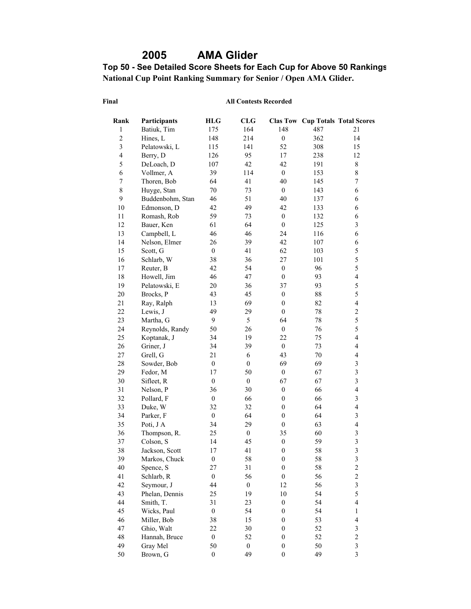# **2005 AMA Glider**

**Top 50 - See Detailed Score Sheets for Each Cup for Above 50 Rankings National Cup Point Ranking Summary for Senior / Open AMA Glider.** 

#### **Final**

| Rank                    | Participants     | <b>HLG</b>       | <b>CLG</b>       |                  |        | <b>Clas Tow Cup Totals Total Scores</b> |
|-------------------------|------------------|------------------|------------------|------------------|--------|-----------------------------------------|
| 1                       | Batiuk, Tim      | 175              | 164              | 148              | 487    | 21                                      |
| $\overline{c}$          | Hines, L         | 148              | 214              | $\boldsymbol{0}$ | 362    | 14                                      |
| $\overline{\mathbf{3}}$ | Pelatowski, L    | 115              | 141              | 52               | 308    | 15                                      |
| $\overline{4}$          | Berry, D         | 126              | 95               | 17               | 238    | 12                                      |
| 5                       | DeLoach, D       | 107              | 42               | 42               | 191    | $\,8\,$                                 |
| 6                       | Vollmer, A       | 39               | 114              | $\boldsymbol{0}$ | 153    | $\,8\,$                                 |
| $\boldsymbol{7}$        | Thoren, Bob      | 64               | 41               | 40               | 145    | $\boldsymbol{7}$                        |
| 8                       | Huyge, Stan      | $70\,$           | 73               | $\boldsymbol{0}$ | 143    | 6                                       |
| 9                       | Buddenbohm, Stan | 46               | 51               | 40               | 137    | 6                                       |
| 10                      | Edmonson, D      | 42               | 49               | 42               | 133    | 6                                       |
| 11                      | Romash, Rob      | 59               | 73               | $\boldsymbol{0}$ | 132    | 6                                       |
| 12                      | Bauer, Ken       | 61               | 64               | $\boldsymbol{0}$ | 125    | $\mathfrak{Z}$                          |
| 13                      | Campbell, L      | 46               | 46               | 24               | 116    | 6                                       |
| 14                      | Nelson, Elmer    | 26               | 39               | 42               | 107    | 6                                       |
| 15                      | Scott, G         | $\boldsymbol{0}$ | 41               | 62               | 103    | 5                                       |
| 16                      | Schlarb, W       | 38               | 36               | 27               | 101    | 5                                       |
| 17                      | Reuter, B        | 42               | 54               | $\boldsymbol{0}$ | 96     | 5                                       |
| 18                      | Howell, Jim      | 46               | 47               | $\boldsymbol{0}$ | 93     | $\overline{4}$                          |
| 19                      | Pelatowski, E    | 20               | 36               | 37               | 93     | 5                                       |
| $20\,$                  | Brocks, P        | 43               | 45               | $\boldsymbol{0}$ | $88\,$ | 5                                       |
| 21                      | Ray, Ralph       | 13               | 69               | $\boldsymbol{0}$ | 82     | $\overline{4}$                          |
| 22                      | Lewis, J         | 49               | 29               | $\mathbf{0}$     | 78     | $\overline{c}$                          |
| 23                      | Martha, G        | 9                | 5                | 64               | 78     | 5                                       |
| 24                      | Reynolds, Randy  | 50               | 26               | $\boldsymbol{0}$ | 76     | 5                                       |
| 25                      | Koptanak, J      | 34               | 19               | 22               | 75     | $\overline{\mathbf{4}}$                 |
| 26                      | Griner, J        | 34               | 39               | $\boldsymbol{0}$ | 73     | $\overline{\mathbf{4}}$                 |
| 27                      | Grell, G         | 21               | 6                | 43               | 70     | $\overline{\mathbf{4}}$                 |
| 28                      | Sowder, Bob      | $\boldsymbol{0}$ | $\boldsymbol{0}$ | 69               | 69     | $\overline{\mathbf{3}}$                 |
| 29                      | Fedor, M         | 17               | 50               | $\boldsymbol{0}$ | 67     | $\overline{\mathbf{3}}$                 |
| 30                      | Sifleet, R       | $\boldsymbol{0}$ | $\boldsymbol{0}$ | 67               | 67     | $\overline{\mathbf{3}}$                 |
| 31                      | Nelson, P        | 36               | 30               | $\boldsymbol{0}$ | 66     | $\overline{\mathbf{4}}$                 |
| 32                      | Pollard, F       | $\boldsymbol{0}$ | 66               | $\boldsymbol{0}$ | 66     | $\overline{\mathbf{3}}$                 |
| 33                      | Duke, W          | 32               | 32               | $\boldsymbol{0}$ | 64     | $\overline{\mathbf{4}}$                 |
| 34                      | Parker, F        | $\boldsymbol{0}$ | 64               | $\boldsymbol{0}$ | 64     | $\mathfrak{Z}$                          |
| 35                      | Poti, J A        | 34               | 29               | $\boldsymbol{0}$ | 63     | $\overline{4}$                          |
| 36                      | Thompson, R.     | 25               | $\boldsymbol{0}$ | 35               | 60     | $\overline{\mathbf{3}}$                 |
| 37                      | Colson, S        | 14               | 45               | $\boldsymbol{0}$ | 59     | $\overline{\mathbf{3}}$                 |
| 38                      | Jackson, Scott   | 17               | 41               | $\boldsymbol{0}$ | 58     | $\overline{\mathbf{3}}$                 |
| 39                      | Markos, Chuck    | $\boldsymbol{0}$ | 58               | $\boldsymbol{0}$ | 58     | $\mathfrak{Z}$                          |
| 40                      | Spence, S        | 27               | 31               | $\boldsymbol{0}$ | 58     | $\overline{\mathbf{c}}$                 |
| 41                      | Schlarb, R       | $\boldsymbol{0}$ | 56               | $\boldsymbol{0}$ | 56     | $\overline{\mathbf{c}}$                 |
| 42                      | Seymour, J       | 44               | $\boldsymbol{0}$ | 12               | 56     | $\overline{\mathbf{3}}$                 |
| 43                      | Phelan, Dennis   | 25               | 19               | 10               | 54     | 5                                       |
| 44                      | Smith, T.        | 31               | 23               | $\boldsymbol{0}$ | 54     | $\overline{4}$                          |
| 45                      | Wicks, Paul      | $\boldsymbol{0}$ | 54               | $\boldsymbol{0}$ | 54     | $\,1$                                   |
| 46                      | Miller, Bob      | 38               | 15               | $\boldsymbol{0}$ | 53     | $\overline{4}$                          |
| 47                      | Ghio, Walt       | 22               | 30               | $\boldsymbol{0}$ | 52     | $\mathfrak{Z}$                          |
| 48                      | Hannah, Bruce    | $\boldsymbol{0}$ | 52               | $\boldsymbol{0}$ | 52     | $\overline{c}$                          |
| 49                      | Gray Mel         | 50               | $\boldsymbol{0}$ | $\boldsymbol{0}$ | 50     | $\mathfrak{Z}$                          |
| 50                      | Brown, G         | $\boldsymbol{0}$ | 49               | $\boldsymbol{0}$ | 49     | $\mathfrak{Z}$                          |